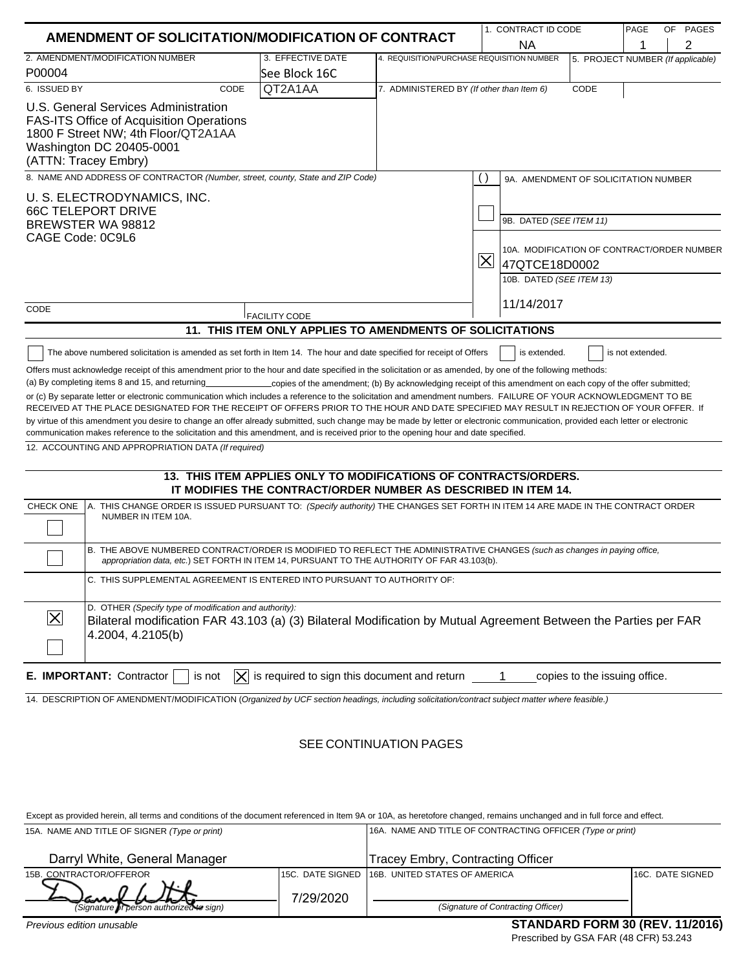| 1. CONTRACT ID CODE<br>AMENDMENT OF SOLICITATION/MODIFICATION OF CONTRACT                                                                                                                                                                                                                                                                                                                                                                                                                                                                                                                                                                                                                                                                                                                                                                                                   |                                                                                                                                    |                                           |                                                                                                                                                 |                               | PAGE | OF PAGES |
|-----------------------------------------------------------------------------------------------------------------------------------------------------------------------------------------------------------------------------------------------------------------------------------------------------------------------------------------------------------------------------------------------------------------------------------------------------------------------------------------------------------------------------------------------------------------------------------------------------------------------------------------------------------------------------------------------------------------------------------------------------------------------------------------------------------------------------------------------------------------------------|------------------------------------------------------------------------------------------------------------------------------------|-------------------------------------------|-------------------------------------------------------------------------------------------------------------------------------------------------|-------------------------------|------|----------|
|                                                                                                                                                                                                                                                                                                                                                                                                                                                                                                                                                                                                                                                                                                                                                                                                                                                                             |                                                                                                                                    |                                           | <b>NA</b>                                                                                                                                       |                               | 1    | 2        |
| 2. AMENDMENT/MODIFICATION NUMBER                                                                                                                                                                                                                                                                                                                                                                                                                                                                                                                                                                                                                                                                                                                                                                                                                                            | 3. EFFECTIVE DATE                                                                                                                  |                                           | 4. REQUISITION/PURCHASE REQUISITION NUMBER<br>5. PROJECT NUMBER (If applicable)                                                                 |                               |      |          |
| P00004<br>6. ISSUED BY<br>CODE                                                                                                                                                                                                                                                                                                                                                                                                                                                                                                                                                                                                                                                                                                                                                                                                                                              | See Block 16C<br>QT2A1AA                                                                                                           | 7. ADMINISTERED BY (If other than Item 6) |                                                                                                                                                 | CODE                          |      |          |
| U.S. General Services Administration<br><b>FAS-ITS Office of Acquisition Operations</b><br>1800 F Street NW; 4th Floor/QT2A1AA<br>Washington DC 20405-0001<br>(ATTN: Tracey Embry)                                                                                                                                                                                                                                                                                                                                                                                                                                                                                                                                                                                                                                                                                          |                                                                                                                                    |                                           |                                                                                                                                                 |                               |      |          |
| 8. NAME AND ADDRESS OF CONTRACTOR (Number, street, county, State and ZIP Code)                                                                                                                                                                                                                                                                                                                                                                                                                                                                                                                                                                                                                                                                                                                                                                                              |                                                                                                                                    |                                           | 9A. AMENDMENT OF SOLICITATION NUMBER                                                                                                            |                               |      |          |
| U. S. ELECTRODYNAMICS, INC.<br><b>66C TELEPORT DRIVE</b><br>BREWSTER WA 98812<br>CAGE Code: 0C9L6                                                                                                                                                                                                                                                                                                                                                                                                                                                                                                                                                                                                                                                                                                                                                                           |                                                                                                                                    |                                           | 9B. DATED (SEE ITEM 11)<br>10A. MODIFICATION OF CONTRACT/ORDER NUMBER<br>$ \overline{\mathsf{X}} $<br>47QTCE18D0002<br>10B. DATED (SEE ITEM 13) |                               |      |          |
| CODE                                                                                                                                                                                                                                                                                                                                                                                                                                                                                                                                                                                                                                                                                                                                                                                                                                                                        |                                                                                                                                    |                                           | 11/14/2017                                                                                                                                      |                               |      |          |
|                                                                                                                                                                                                                                                                                                                                                                                                                                                                                                                                                                                                                                                                                                                                                                                                                                                                             | <b>FACILITY CODE</b><br>11. THIS ITEM ONLY APPLIES TO AMENDMENTS OF SOLICITATIONS                                                  |                                           |                                                                                                                                                 |                               |      |          |
| or (c) By separate letter or electronic communication which includes a reference to the solicitation and amendment numbers. FAILURE OF YOUR ACKNOWLEDGMENT TO BE<br>RECEIVED AT THE PLACE DESIGNATED FOR THE RECEIPT OF OFFERS PRIOR TO THE HOUR AND DATE SPECIFIED MAY RESULT IN REJECTION OF YOUR OFFER. If<br>by virtue of this amendment you desire to change an offer already submitted, such change may be made by letter or electronic communication, provided each letter or electronic<br>communication makes reference to the solicitation and this amendment, and is received prior to the opening hour and date specified.<br>12. ACCOUNTING AND APPROPRIATION DATA (If required)<br><b>CHECK ONE</b><br>A. THIS CHANGE ORDER IS ISSUED PURSUANT TO: (Specify authority) THE CHANGES SET FORTH IN ITEM 14 ARE MADE IN THE CONTRACT ORDER<br>NUMBER IN ITEM 10A. | 13. THIS ITEM APPLIES ONLY TO MODIFICATIONS OF CONTRACTS/ORDERS.<br>IT MODIFIES THE CONTRACT/ORDER NUMBER AS DESCRIBED IN ITEM 14. |                                           |                                                                                                                                                 |                               |      |          |
| B. THE ABOVE NUMBERED CONTRACT/ORDER IS MODIFIED TO REFLECT THE ADMINISTRATIVE CHANGES (such as changes in paying office,<br>appropriation data, etc.) SET FORTH IN ITEM 14, PURSUANT TO THE AUTHORITY OF FAR 43.103(b).                                                                                                                                                                                                                                                                                                                                                                                                                                                                                                                                                                                                                                                    |                                                                                                                                    |                                           |                                                                                                                                                 |                               |      |          |
| C. THIS SUPPLEMENTAL AGREEMENT IS ENTERED INTO PURSUANT TO AUTHORITY OF:                                                                                                                                                                                                                                                                                                                                                                                                                                                                                                                                                                                                                                                                                                                                                                                                    |                                                                                                                                    |                                           |                                                                                                                                                 |                               |      |          |
| D. OTHER (Specify type of modification and authority):<br>$ \times$<br>Bilateral modification FAR 43.103 (a) (3) Bilateral Modification by Mutual Agreement Between the Parties per FAR<br>4.2004, 4.2105(b)                                                                                                                                                                                                                                                                                                                                                                                                                                                                                                                                                                                                                                                                |                                                                                                                                    |                                           |                                                                                                                                                 |                               |      |          |
| E. IMPORTANT: Contractor<br>IXI<br>is not                                                                                                                                                                                                                                                                                                                                                                                                                                                                                                                                                                                                                                                                                                                                                                                                                                   | is required to sign this document and return                                                                                       |                                           |                                                                                                                                                 | copies to the issuing office. |      |          |
| 14. DESCRIPTION OF AMENDMENT/MODIFICATION (Organized by UCF section headings, including solicitation/contract subject matter where feasible.)                                                                                                                                                                                                                                                                                                                                                                                                                                                                                                                                                                                                                                                                                                                               |                                                                                                                                    |                                           |                                                                                                                                                 |                               |      |          |
|                                                                                                                                                                                                                                                                                                                                                                                                                                                                                                                                                                                                                                                                                                                                                                                                                                                                             |                                                                                                                                    | SEE CONTINUATION PAGES                    |                                                                                                                                                 |                               |      |          |

Except as provided herein, all terms and conditions of the document referenced in Item 9A or 10A, as heretofore changed, remains unchanged and in full force and effect.<br>15A NAME AND TITLE OF SIGNER (Time or print) 15A. NAME AND TITLE OF SIGNER *(Type or print)* 16A. NAME AND TITLE OF CONTRACTING OFFICER *(Type or print)*

| 15A. NAME AND TITLE OF SIGNER (Type or print) |           | TOA. INAIVIE AIND TITLE OF CONTRACTING OFFICER (TYPE OF DITIIT) |                  |  |  |
|-----------------------------------------------|-----------|-----------------------------------------------------------------|------------------|--|--|
| Darryl White, General Manager                 |           | <b>Tracey Embry, Contracting Officer</b>                        |                  |  |  |
| 15B. CONTRACTOR/OFFEROR                       |           | 115C. DATE SIGNED 116B. UNITED STATES OF AMERICA                | 16C. DATE SIGNED |  |  |
|                                               | 7/29/2020 |                                                                 |                  |  |  |
| (Signature of person authorized to sign)      |           | (Signature of Contracting Officer)                              |                  |  |  |
|                                               |           |                                                                 |                  |  |  |